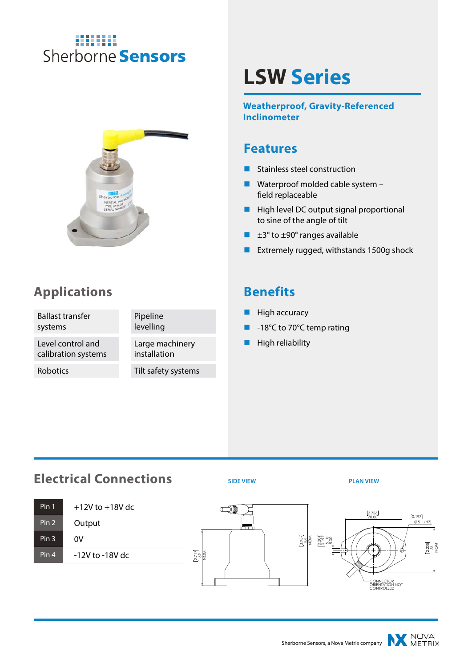## 5555555 Sherborne **Sensors**



# **LSW Series**

**Weatherproof, Gravity-Referenced Inclinometer**

#### **Features**

- **Stainless steel construction**
- Waterproof molded cable system field replaceable
- **High level DC output signal proportional** to sine of the angle of tilt
- $\blacksquare$   $\pm$ 3° to  $\pm$ 90° ranges available
- **EXtremely rugged, withstands 1500g shock**

#### **Benefits**

- $\blacksquare$  High accuracy
- -18°C to 70°C temp rating
- $\blacksquare$  High reliability

#### **Applications**

Ballast transfer systems

Level control and calibration systems

Robotics

Tilt safety systems installation

Large machinery

Pipeline levelling

## **Electrical Connections**

| Pin 1 | $+12V$ to $+18V$ dc |
|-------|---------------------|
| Pin 2 | Output              |
| Pin 3 | 0V                  |
| Pin 4 | $-12V$ to $-18V$ dc |



2.717 69 NOM **SIDE VIEW PLAN VIEW**



METRIX Sherborne Sensors, a Nova Metrix company

 $\frac{1}{2}$